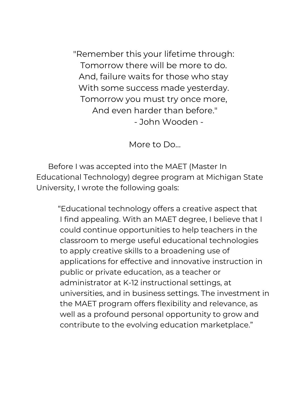"Remember this your lifetime through: Tomorrow there will be more to do. And, failure waits for those who stay With some success made yesterday. Tomorrow you must try once more, And even harder than before." - John Wooden -

More to Do…

Before I was accepted into the MAET (Master In Educational Technology) degree program at Michigan State University, I wrote the following goals:

"Educational technology offers a creative aspect that I find appealing. With an MAET degree, I believe that I could continue opportunities to help teachers in the classroom to merge useful educational technologies to apply creative skills to a broadening use of applications for effective and innovative instruction in public or private education, as a teacher or administrator at K-12 instructional settings, at universities, and in business settings. The investment in the MAET program offers flexibility and relevance, as well as a profound personal opportunity to grow and contribute to the evolving education marketplace."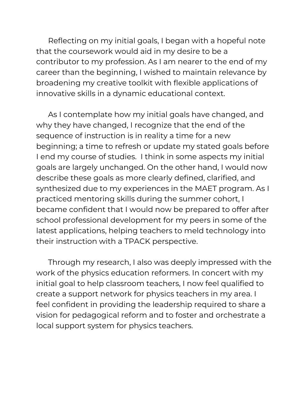Reflecting on my initial goals, I began with a hopeful note that the coursework would aid in my desire to be a contributor to my profession. As I am nearer to the end of my career than the beginning, I wished to maintain relevance by broadening my creative toolkit with flexible applications of innovative skills in a dynamic educational context.

As I contemplate how my initial goals have changed, and why they have changed, I recognize that the end of the sequence of instruction is in reality a time for a new beginning; a time to refresh or update my stated goals before I end my course of studies. I think in some aspects my initial goals are largely unchanged. On the other hand, I would now describe these goals as more clearly defined, clarified, and synthesized due to my experiences in the MAET program. As I practiced mentoring skills during the summer cohort, I became confident that I would now be prepared to offer after school professional development for my peers in some of the latest applications, helping teachers to meld technology into their instruction with a TPACK perspective.

Through my research, I also was deeply impressed with the work of the physics education reformers. In concert with my initial goal to help classroom teachers, I now feel qualified to create a support network for physics teachers in my area. I feel confident in providing the leadership required to share a vision for pedagogical reform and to foster and orchestrate a local support system for physics teachers.